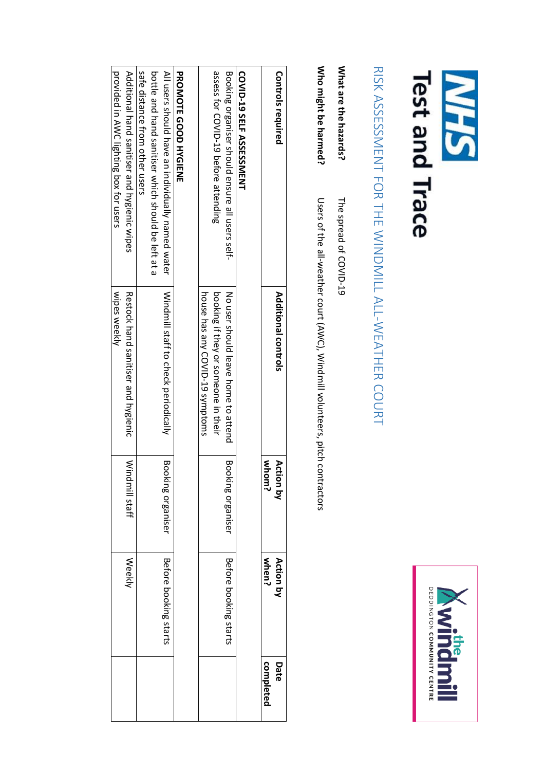| <b>Test and Trace</b><br>NEN                                                                             |                                                                             |                       | DEDDINGTON COMMUNITY CENTRE<br><b>Windman</b> |                   |
|----------------------------------------------------------------------------------------------------------|-----------------------------------------------------------------------------|-----------------------|-----------------------------------------------|-------------------|
| RISK ASSESSMENT FOR THE WINDMILL ALL-WEATHER COURT                                                       |                                                                             |                       |                                               |                   |
| What are the hazards?<br>The spread of COVID-19                                                          |                                                                             |                       |                                               |                   |
| Who might be harmed?                                                                                     | Users of the all-weather count (ANC), Nindmill voluteers, pitch contractors |                       |                                               |                   |
| <b>Controls required</b>                                                                                 | Additional controls                                                         | whom?<br>Action by    | when?<br>Action by                            | Date<br>completed |
| <b>COVID-19 SELF ASSESSIMENT</b>                                                                         |                                                                             |                       |                                               |                   |
| Booking organiser should ensure all users self-                                                          | No user should leave home to attend                                         | Bo<br>oking organiser | Before booking starts                         |                   |
| assess tor COND-19 petore attending                                                                      | booking if they or someone in their<br>house has any COVID-19 symptoms      |                       |                                               |                   |
| <b>PRONOIR GOOD HYGIENE</b>                                                                              |                                                                             |                       |                                               |                   |
| bottle and hand sanitiser which should be left at a<br>All users should have an individually named water | Windmill staff to check periodically                                        | Booking organiser     | Before booking starts                         |                   |
| sate distance from other users                                                                           |                                                                             |                       |                                               |                   |
| Additional hand sanitiser and hygienic wipes<br>provided in AWC lighting box for users                   | wipes weekly<br>Restock hand sanitiser and hygienic                         | Windmill staff        | Weekly                                        |                   |
|                                                                                                          |                                                                             |                       |                                               |                   |